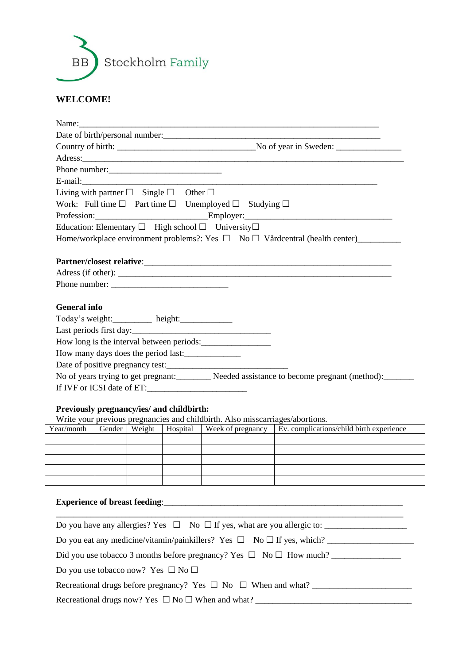

### **WELCOME!**

| Name:                                                          |  |                                                                                       |                                                                                                        |
|----------------------------------------------------------------|--|---------------------------------------------------------------------------------------|--------------------------------------------------------------------------------------------------------|
|                                                                |  |                                                                                       |                                                                                                        |
|                                                                |  |                                                                                       |                                                                                                        |
|                                                                |  |                                                                                       |                                                                                                        |
| Phone number:                                                  |  |                                                                                       |                                                                                                        |
|                                                                |  |                                                                                       | E-mail: <u>Contract Communication</u>                                                                  |
| Living with partner $\square$ Single $\square$ Other $\square$ |  |                                                                                       |                                                                                                        |
|                                                                |  | Work: Full time $\square$ Part time $\square$ Unemployed $\square$ Studying $\square$ |                                                                                                        |
|                                                                |  |                                                                                       | Profession: Employer: Employer:                                                                        |
|                                                                |  | Education: Elementary $\Box$ High school $\Box$ University $\Box$                     |                                                                                                        |
|                                                                |  |                                                                                       |                                                                                                        |
|                                                                |  |                                                                                       |                                                                                                        |
|                                                                |  |                                                                                       |                                                                                                        |
|                                                                |  |                                                                                       |                                                                                                        |
|                                                                |  |                                                                                       |                                                                                                        |
| <b>General</b> info                                            |  |                                                                                       |                                                                                                        |
| Today's weight: height: height:                                |  |                                                                                       |                                                                                                        |
|                                                                |  | Last periods first day:                                                               |                                                                                                        |
|                                                                |  | How long is the interval between periods:                                             |                                                                                                        |
|                                                                |  | How many days does the period last:                                                   |                                                                                                        |
|                                                                |  |                                                                                       |                                                                                                        |
|                                                                |  |                                                                                       | No of years trying to get pregnant: Needed assistance to become pregnant (method):                     |
|                                                                |  | If IVF or ICSI date of ET:                                                            |                                                                                                        |
|                                                                |  |                                                                                       |                                                                                                        |
| Previously pregnancy/ies/ and childbirth:                      |  |                                                                                       |                                                                                                        |
|                                                                |  | Write your previous pregnancies and childbirth. Also misscarriages/abortions.         | Year/month   Gender   Weight   Hospital   Week of pregnancy   Ev. complications/child birth experience |
|                                                                |  |                                                                                       |                                                                                                        |

| Year/month | Gender   Weight | Hospital | Week of pregnancy | Ev. complications/child birth experience |
|------------|-----------------|----------|-------------------|------------------------------------------|
|            |                 |          |                   |                                          |
|            |                 |          |                   |                                          |
|            |                 |          |                   |                                          |
|            |                 |          |                   |                                          |
|            |                 |          |                   |                                          |

# **Experience of breast feeding**:\_\_\_\_\_\_\_\_\_\_\_\_\_\_\_\_\_\_\_\_\_\_\_\_\_\_\_\_\_\_\_\_\_\_\_\_\_\_\_\_\_\_\_\_\_\_\_\_\_\_\_\_\_\_\_

| Do you have any allergies? Yes $\square$ No $\square$ If yes, what are you allergic to: |
|-----------------------------------------------------------------------------------------|
| Do you eat any medicine/vitamin/painkillers? Yes $\Box$ No $\Box$ If yes, which?        |
| Did you use tobacco 3 months before pregnancy? Yes $\Box$ No $\Box$ How much?           |
| Do you use tobacco now? Yes $\Box$ No $\Box$                                            |
| Recreational drugs before pregnancy? Yes $\Box$ No $\Box$ When and what?                |
| Recreational drugs now? Yes $\Box$ No $\Box$ When and what?                             |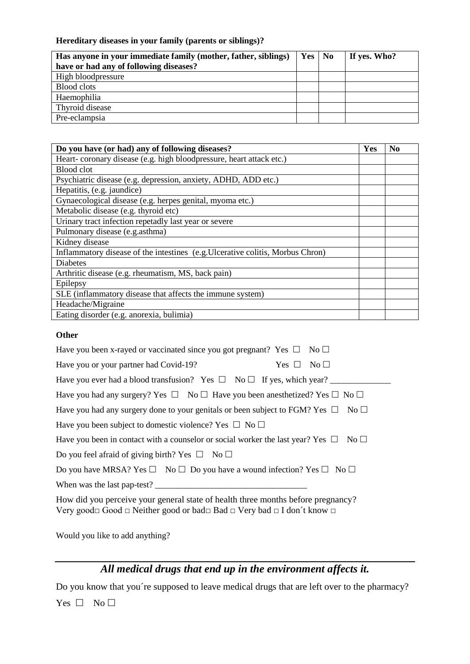### **Hereditary diseases in your family (parents or siblings)?**

| Has anyone in your immediate family (mother, father, siblings) | $Yes \mid No$ | If yes. Who? |
|----------------------------------------------------------------|---------------|--------------|
| have or had any of following diseases?                         |               |              |
| High bloodpressure                                             |               |              |
| <b>Blood</b> clots                                             |               |              |
| Haemophilia                                                    |               |              |
| Thyroid disease                                                |               |              |
| Pre-eclampsia                                                  |               |              |

| Do you have (or had) any of following diseases?                                | Yes | N <sub>0</sub> |
|--------------------------------------------------------------------------------|-----|----------------|
| Heart-coronary disease (e.g. high bloodpressure, heart attack etc.)            |     |                |
| Blood clot                                                                     |     |                |
| Psychiatric disease (e.g. depression, anxiety, ADHD, ADD etc.)                 |     |                |
| Hepatitis, (e.g. jaundice)                                                     |     |                |
| Gynaecological disease (e.g. herpes genital, myoma etc.)                       |     |                |
| Metabolic disease (e.g. thyroid etc)                                           |     |                |
| Urinary tract infection repetadly last year or severe                          |     |                |
| Pulmonary disease (e.g.asthma)                                                 |     |                |
| Kidney disease                                                                 |     |                |
| Inflammatory disease of the intestines (e.g. Ulcerative colitis, Morbus Chron) |     |                |
| <b>Diabetes</b>                                                                |     |                |
| Arthritic disease (e.g. rheumatism, MS, back pain)                             |     |                |
| Epilepsy                                                                       |     |                |
| SLE (inflammatory disease that affects the immune system)                      |     |                |
| Headache/Migraine                                                              |     |                |
| Eating disorder (e.g. anorexia, bulimia)                                       |     |                |

#### **Other**

| Have you been x-rayed or vaccinated since you got pregnant? Yes $\Box$ No $\Box$                                                                                                           |
|--------------------------------------------------------------------------------------------------------------------------------------------------------------------------------------------|
| Have you or your partner had Covid-19?<br>$Yes \Box No \Box$                                                                                                                               |
| Have you ever had a blood transfusion? Yes $\Box$ No $\Box$ If yes, which year?                                                                                                            |
| Have you had any surgery? Yes $\Box$ No $\Box$ Have you been anesthetized? Yes $\Box$ No $\Box$                                                                                            |
| Have you had any surgery done to your genitals or been subject to FGM? Yes $\Box$ No $\Box$                                                                                                |
| Have you been subject to domestic violence? Yes $\Box$ No $\Box$                                                                                                                           |
| Have you been in contact with a counselor or social worker the last year? Yes $\Box$<br>$\rm No \ \Box$                                                                                    |
| Do you feel afraid of giving birth? Yes $\Box$ No $\Box$                                                                                                                                   |
| Do you have MRSA? Yes $\square$ No $\square$ Do you have a wound infection? Yes $\square$ No $\square$                                                                                     |
| When was the last pap-test?                                                                                                                                                                |
| How did you perceive your general state of health three months before pregnancy?<br>Very good $\Box$ Good $\Box$ Neither good or bad $\Box$ Bad $\Box$ Very bad $\Box$ I don't know $\Box$ |

Would you like to add anything?

# *All medical drugs that end up in the environment affects it.*

Do you know that you´re supposed to leave medical drugs that are left over to the pharmacy?

Yes  $\Box$  No  $\Box$